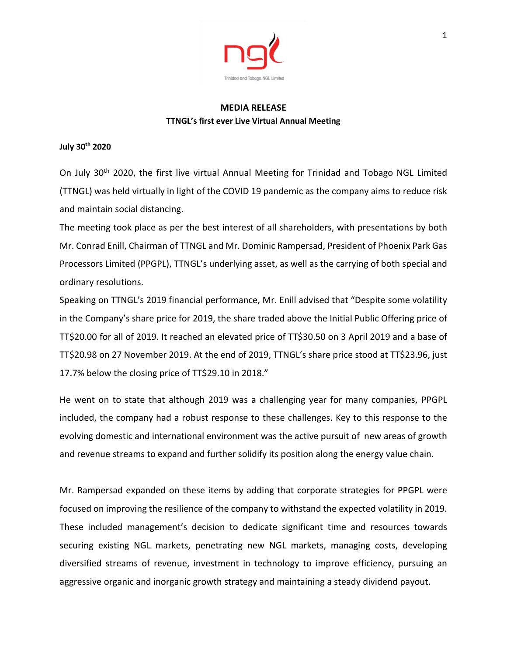

## **MEDIA RELEASE TTNGL's first ever Live Virtual Annual Meeting**

## **July 30th 2020**

On July 30th 2020, the first live virtual Annual Meeting for Trinidad and Tobago NGL Limited (TTNGL) was held virtually in light of the COVID 19 pandemic as the company aims to reduce risk and maintain social distancing.

The meeting took place as per the best interest of all shareholders, with presentations by both Mr. Conrad Enill, Chairman of TTNGL and Mr. Dominic Rampersad, President of Phoenix Park Gas Processors Limited (PPGPL), TTNGL's underlying asset, as well as the carrying of both special and ordinary resolutions.

Speaking on TTNGL's 2019 financial performance, Mr. Enill advised that "Despite some volatility in the Company's share price for 2019, the share traded above the Initial Public Offering price of TT\$20.00 for all of 2019. It reached an elevated price of TT\$30.50 on 3 April 2019 and a base of TT\$20.98 on 27 November 2019. At the end of 2019, TTNGL's share price stood at TT\$23.96, just 17.7% below the closing price of TT\$29.10 in 2018."

He went on to state that although 2019 was a challenging year for many companies, PPGPL included, the company had a robust response to these challenges. Key to this response to the evolving domestic and international environment was the active pursuit of new areas of growth and revenue streams to expand and further solidify its position along the energy value chain.

Mr. Rampersad expanded on these items by adding that corporate strategies for PPGPL were focused on improving the resilience of the company to withstand the expected volatility in 2019. These included management's decision to dedicate significant time and resources towards securing existing NGL markets, penetrating new NGL markets, managing costs, developing diversified streams of revenue, investment in technology to improve efficiency, pursuing an aggressive organic and inorganic growth strategy and maintaining a steady dividend payout.